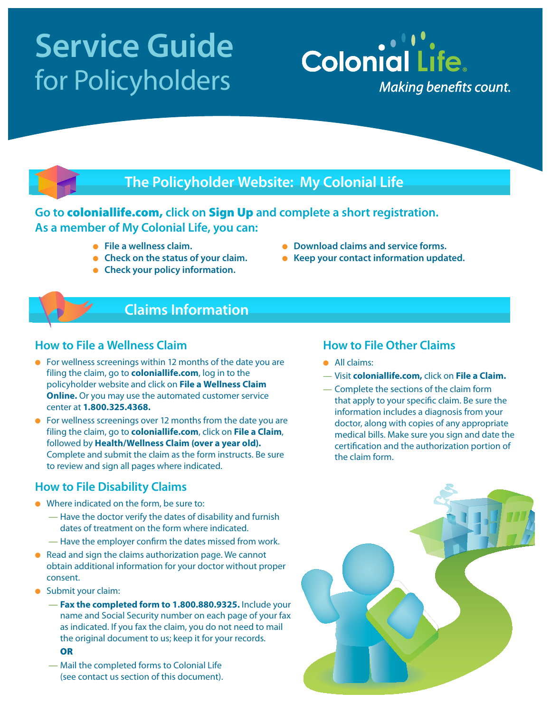# **Service Guide**  for Policyholders

## **The Policyholder Website: My Colonial Life**

## **Go to** coloniallife.com, **click on** Sign Up **and complete a short registration. As a member of My Colonial Life, you can:**

- **File a wellness claim.**
- **e** Check on the status of your claim.
- **Check your policy information.**
- **Download claims and service forms.**
- **e** Keep your contact information updated.

**Colonial Life.** 

**Making benefits count.** 

## **Claims Information**

#### **How to File a Wellness Claim**

- $\bullet$  For wellness screenings within 12 months of the date you are filing the claim, go to **coloniallife.com**, log in to the policyholder website and click on **File a Wellness Claim Online.** Or you may use the automated customer service center at **1.800.325.4368.**
- $\bullet$  For wellness screenings over 12 months from the date you are filing the claim, go to **coloniallife.com**, click on **File a Claim**, followed by **Health/Wellness Claim (over a year old).**  Complete and submit the claim as the form instructs. Be sure to review and sign all pages where indicated.

#### **How to File Disability Claims**

- Where indicated on the form, be sure to:
	- Have the doctor verify the dates of disability and furnish dates of treatment on the form where indicated.
	- Have the employer confirm the dates missed from work.
- $\bullet$  Read and sign the claims authorization page. We cannot obtain additional information for your doctor without proper consent.
- **Submit your claim:** 
	- **Fax the completed form to 1.800.880.9325.** Include your name and Social Security number on each page of your fax as indicated. If you fax the claim, you do not need to mail the original document to us; keep it for your records.
		- **OR**
	- Mail the completed forms to Colonial Life (see contact us section of this document).

#### **How to File Other Claims**

- All claims:
- Visit **coloniallife.com,** click on **File a Claim.**
- Complete the sections of the claim form that apply to your specific claim. Be sure the information includes a diagnosis from your doctor, along with copies of any appropriate medical bills. Make sure you sign and date the certification and the authorization portion of the claim form.